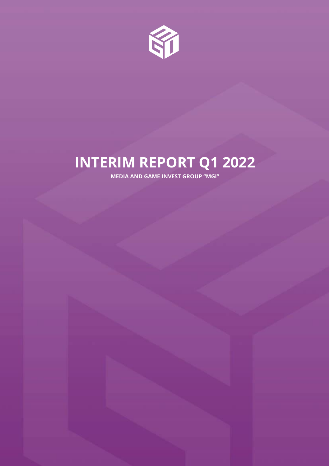

# **INTERIM REPORT Q1 2022**

**MEDIA AND GAME INVEST GROUP "MGI"**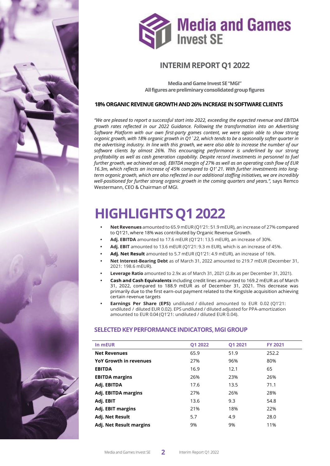



# **INTERIM REPORT Q1 2022**

**MediaandGameInvest SE"MGI"** All figures are preliminary consolidated group figures

## **18% ORGANIC REVENUE GROWTH AND 26% INCREASE IN SOFTWARE CLIENTS**

*"We are pleased to report a successful start into 2022, exceeding the expected revenue and EBITDA growth rates reflected in our 2022 Guidance. Following the transformation into an Advertising Software Platform with our own first-party games content, we were again able to show strong organic growth, with 18% organic growth in Q1`22, which tends to be a seasonally softer quarter in the advertising industry. In line with this growth, we were also able to increase the number of our software clients by almost 26%. This encouraging performance is underlined by our strong profitability as well as cash generation capability. Despite record investments in personnel to fuel further growth, we achieved an adj. EBITDA margin of 27% as well as an operating cash flow of EUR 16.3m, which reflects an increase of 45% compared to Q1' 21. With further investments into longterm organic growth, which are also reflected in our additional staffing initiatives, we are incredibly well-positioned for further strong organic growth in the coming quarters and years.",* says Remco Westermann, CEO & Chairman of MGI*.*

# **HIGHLIGHTSQ12022**

- **• NetRevenues** amounted to 65.9 mEUR (Q1'21: 51.9 mEUR), an increase of 27% compared to Q1'21, where 18% was contributed by Organic Revenue Growth.
- **• Adj. EBITDA** amounted to 17.6 mEUR (Q1'21: 13.5 mEUR), an increase of 30%.
- **• Adj. EBIT** amounted to 13.6 mEUR (Q1'21: 9.3 m EUR), which is an increase of 45%.
- **• Adj. Net Result** amounted to 5.7 mEUR (Q1'21: 4.9 mEUR), an increase of 16%.
- **• Net Interest-Bearing Debt** as of March 31, 2022 amounted to 219.7 mEUR (December 31, 2021: 198.6 mEUR).
- **• Leverage Ratio** amounted to 2.9x as of March 31, 2021 (2.8x as per December 31, 2021).
- **• Cash and Cash Equivalents** including credit lines amounted to 169.2 mEUR as of March 31, 2022, compared to 188.9 mEUR as of December 31, 2021. This decrease was primarily due to the first earn-out payment related to the KingsIsle acquisition achieving certain revenue targets
- **• Earnings Per Share (EPS)** undiluted / diluted amounted to EUR 0.02 (Q1'21: undiluted / diluted EUR 0.02). EPS undiluted / diluted adjusted for PPA-amortization amounted to EUR 0.04 (Q1'21: undiluted / diluted EUR 0.04).

## **SELECTED KEY PERFORMANCE INDICATORS, MGI GROUP**

| In mEUR                       | <b>Q1 2022</b> | <b>Q1 2021</b> | <b>FY 2021</b> |  |
|-------------------------------|----------------|----------------|----------------|--|
| <b>Net Revenues</b>           | 65.9           | 51.9           | 252.2          |  |
| <b>YoY Growth in revenues</b> | 27%            | 96%            | 80%            |  |
| <b>EBITDA</b>                 | 16.9           | 12.1           | 65             |  |
| <b>EBITDA</b> margins         | 26%            | 23%            | 26%            |  |
| Adj. EBITDA                   | 17.6           | 13.5           | 71.1           |  |
| Adj. EBITDA margins           | 27%            | 26%            | 28%            |  |
| Adj. EBIT                     | 13.6           | 9.3            | 54.8           |  |
| Adj. EBIT margins             | 21%            | 18%            | 22%            |  |
| Adj. Net Result               | 5.7            | 4.9            | 28.0           |  |
| Adj. Net Result margins       | 9%             | 9%             | 11%            |  |
|                               |                |                |                |  |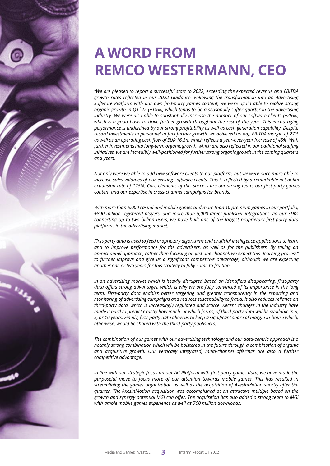

# **A WORD FROM REMCO WESTERMANN, CEO**

*"We are pleased to report a successful start to 2022, exceeding the expected revenue and EBITDA growth rates reflected in our 2022 Guidance. Following the transformation into an Advertising Software Platform with our own first-party games content, we were again able to realize strong organic growth in Q1`22 (+18%), which tends to be a seasonally softer quarter in the advertising industry. We were also able to substantially increase the number of our software clients (+26%), which is a good basis to drive further growth throughout the rest of the year. This encouraging performance is underlined by our strong profitability as well as cash generation capability. Despite record investments in personnel to fuel further growth, we achieved an adj. EBITDA margin of 27% as well as an operating cash flow of EUR 16.3m which reflects a year-over-year increase of 45%. With further investments into long-term organic growth, which are also reflected in our additional staffing initiatives, we are incredibly well-positioned for further strong organic growth in the coming quarters and years.* 

*Not only were we able to add new software clients to our platform, but we were once more able to increase sales volumes of our existing software clients. This is reflected by a remarkable net dollar expansion rate of 125%. Core elements of this success are our strong team, our first-party games content and our expertise in cross-channel campaigns for brands.* 

*With more than 5,000 casual and mobile games and more than 10 premium games in our portfolio, +800 million registered players, and more than 5,000 direct publisher integrations via our SDKs connecting up to two billion users, we have built one of the largest proprietary first-party data platforms in the advertising market.*

*First-party data is used to feed proprietary algorithms and artificial intelligence applications to learn and to improve performance for the advertisers, as well as for the publishers. By taking an omnichannel approach, rather than focusing on just one channel, we expect this "learning process" to further improve and give us a significant competitive advantage, although we are expecting another one or two years for this strategy to fully come to fruition.* 

*In an advertising market which is heavily disrupted based on identifiers disappearing, first-party data offers strong advantages, which is why we are fully convinced of its importance in the long term. First-party data enables better targeting and greater transparency in the reporting and monitoring of advertising campaigns and reduces susceptibility to fraud. It also reduces reliance on third-party data, which is increasingly regulated and scarce. Recent changes in the industry have made it hard to predict exactly how much, or which forms, of third-party data will be available in 3, 5, or 10 years. Finally, first-party data allow us to keep a significant share of margin in-house which, otherwise, would be shared with the third-party publishers.* 

*The combination of our games with our advertising technology and our data-centric approach is a notably strong combination which will be bolstered in the future through a combination of organic and acquisitive growth. Our vertically integrated, multi-channel offerings are also a further competitive advantage.* 

*In line with our strategic focus on our Ad-Platform with first-party games data, we have made the purposeful move to focus more of our attention towards mobile games. This has resulted in streamlining the games organization as well as the acquisition of AxesInMotion shortly after the quarter. The AxesInMotion acquisition was accomplished at an attractive multiple based on the growth and synergy potential MGI can offer. The acquisition has also added a strong team to MGI with ample mobile games experience as well as 700 million downloads.*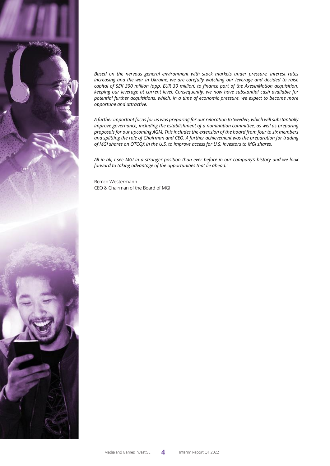

*Based on the nervous general environment with stock markets under pressure, interest rates increasing and the war in Ukraine, we are carefully watching our leverage and decided to raise capital of SEK 300 million (app. EUR 30 million) to finance part of the AxesInMotion acquisition, keeping our leverage at current level. Consequently, we now have substantial cash available for potential further acquisitions, which, in a time of economic pressure, we expect to become more opportune and attractive.*

*A further important focus for us was preparing for our relocation to Sweden, which will substantially improve governance, including the establishment of a nomination committee, as well as preparing proposals for our upcoming AGM. This includes the extension of the board from four to six members and splitting the role of Chairman and CEO. A further achievement was the preparation for trading of MGI shares on OTCQX in the U.S. to improve access for U.S. investors to MGI shares.*

*All in all, I see MGI in a stronger position than ever before in our company's history and we look forward to taking advantage of the opportunities that lie ahead."*

Remco Westermann CEO & Chairman of the Board of MGI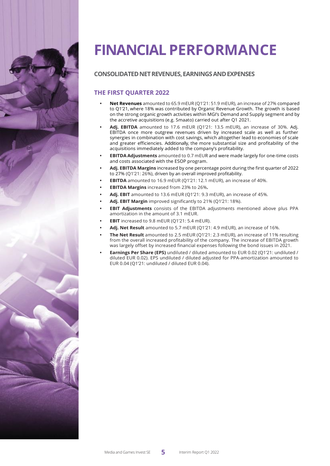

# **FINANCIALPERFORMANCE**

# **CONSOLIDATEDNETREVENUES,EARNINGSANDEXPENSES**

# **THE FIRST QUARTER 2022**

- **• Net Revenues** amounted to 65.9 mEUR (Q1'21: 51.9 mEUR), an increase of 27% compared to Q1'21, where 18% was contributed by Organic Revenue Growth. The growth is based on the strong organic growth activities within MGI's Demand and Supply segment and by the accretive acquisitions (e.g. Smaato) carried out after Q1 2021.
- **• Adj. EBITDA** amounted to 17.6 mEUR (Q1'21: 13.5 mEUR), an increase of 30%. Adj. EBITDA once more outgrew revenues driven by increased scale as well as further synergies in combination with cost savings, which altogether lead to economies of scale and greater efficiencies. Additionally, the more substantial size and profitability of the acquisitions immediately added to the company's profitability.
- **• EBITDA Adjustments** amounted to 0.7 mEUR and were made largely for one-time costs and costs associated with the ESOP program.
- **• Adj. EBITDA Margins** increased by one percentage point during the first quarter of 2022 to 27% (Q1'21: 26%), driven by an overall improved profitability.
- **• EBITDA** amounted to 16.9 mEUR (Q1'21: 12.1 mEUR), an increase of 40%.
- **• EBITDA Margins** increased from 23% to 26%**.**
- **• Adj. EBIT** amounted to 13.6 mEUR (Q1'21: 9.3 mEUR), an increase of 45%.
- **• Adj. EBIT Margin** improved significantly to 21% (Q1'21: 18%).
- **• EBIT Adjustments** consists of the EBITDA adjustments mentioned above plus PPA amortization in the amount of 3.1 mEUR.
- **• EBIT** increased to 9.8 mEUR (Q1'21: 5.4 mEUR).
- **• Adj. Net Result** amounted to 5.7 mEUR (Q1'21: 4.9 mEUR), an increase of 16%.
- **• The Net Result** amounted to 2.5 mEUR (Q1'21: 2.3 mEUR), an increase of 11% resulting from the overall increased profitability of the company. The increase of EBITDA growth was largely offset by increased financial expenses following the bond issues in 2021.
- **• Earnings Per Share (EPS)** undiluted / diluted amounted to EUR 0.02 (Q1'21: undiluted / diluted EUR 0.02). EPS undiluted / diluted adjusted for PPA-amortization amounted to EUR 0.04 (Q1'21: undiluted / diluted EUR 0.04).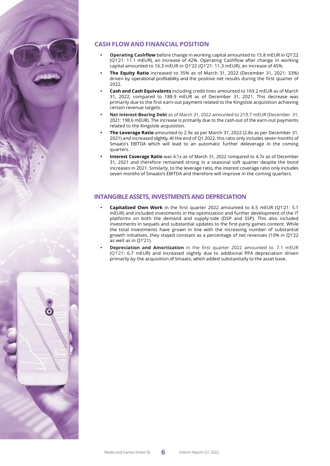

# **CASH FLOW AND FINANCIAL POSITION**

- **• Operating Cashflow** before change in working capital amounted to 15.8 mEUR in Q1'22 (Q1'21: 11.1 mEUR), an increase of 42%. Operating Cashflow after change in working capital amounted to 16.3 mEUR in Q1'22 (Q1'21: 11.3 mEUR), an increase of 45%.
- **• The Equity Ratio** increased to 35% as of March 31, 2022 (December 31, 2021: 33%) driven by operational profitability and the positive net results during the first quarter of 2022.
- **• Cash and Cash Equivalents** including credit lines amounted to 169.2 mEUR as of March 31, 2022, compared to 188.9 mEUR as of December 31, 2021. This decrease was primarily due to the first earn-out payment related to the KingsIsle acquisition achieving certain revenue targets.
- **• Net Interest-Bearing Debt** as of March 31, 2022 amounted to 219.7 mEUR (December 31, 2021: 198.6 mEUR). The increase is primarily due to the cash-out of the earn-out payments related to the KingsIsle acquisition.
- **• The Leverage Ratio** amounted to 2.9x as per March 31, 2022 (2.8x as per December 31, 2021) and increased slightly. At the end of Q1 2022, this ratio only includes seven months of Smaato's EBITDA which will lead to an automatic further deleverage in the coming quarters.
- **• Interest Coverage Ratio** was 4.1x as of March 31, 2022 compared to 4.7x as of December 31, 2021 and therefore remained strong in a seasonal soft quarter despite the bond increases in 2021. Similarly, to the leverage ratio, the interest coverage ratio only includes seven months of Smaato's EBITDA and therefore will improve in the coming quarters.

## **INTANGIBLE ASSETS, INVESTMENTSAND DEPRECIATION**

- **• Capitalized Own Work** in the first quarter 2022 amounted to 6.5 mEUR (Q1'21: 5.1 mEUR) and included investments in the optimization and further development of the IT platforms on both the demand and supply-side (DSP and SSP). This also included investments in sequels and substantial updates to the first-party games content. While the total investments have grown in line with the increasing number of substantial growth initiatives, they stayed constant as a percentage of net revenues (10% in Q1'22 as well as in Q1'21).
- **• Depreciation and Amortization** in the first quarter 2022 amounted to 7.1 mEUR (Q1'21: 6.7 mEUR) and increased slightly due to additional PPA depreciation driven primarily by the acquisition of Smaato, which added substantially to the asset base.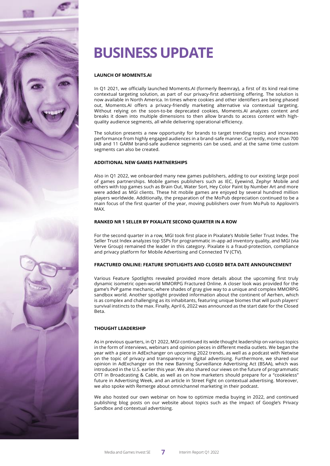

# **BUSINESS UPDATE**

## **LAUNCH OF MOMENTS.AI**

In Q1 2021, we officially launched Moments.AI (formerly Beemray), a first of its kind real-time contextual targeting solution, as part of our privacy-first advertising offering. The solution is now available in North America. In times where cookies and other identifiers are being phased out, Moments.AI offers a privacy-friendly marketing alternative via contextual targeting. Without relying on the soon-to-be deprecated cookies, Moments.AI analyzes content and breaks it down into multiple dimensions to then allow brands to access content with highquality audience segments, all while delivering operational efficiency.

The solution presents a new opportunity for brands to target trending topics and increases performance from highly engaged audiences in a brand-safe manner. Currently, more than 700 IAB and 11 GARM brand-safe audience segments can be used, and at the same time custom segments can also be created.

## **ADDITIONAL NEW GAMES PARTNERSHIPS**

Also in Q1 2022, we onboarded many new games publishers, adding to our existing large pool of games partnerships. Mobile games publishers such as IEC, Eyewind, Zephyr Mobile and others with top games such as Brain Out, Water Sort, Hey Color Paint by Number Art and more were added as MGI clients. These hit mobile games are enjoyed by several hundred million players worldwide. Additionally, the preparation of the MoPub depreciation continued to be a main focus of the first quarter of the year, moving publishers over from MoPub to Applovin's MAX.

#### **RANKED NR 1 SELLER BY PIXALATE SECOND QUARTER IN A ROW**

For the second quarter in a row, MGI took first place in Pixalate's Mobile Seller Trust Index. The Seller Trust Index analyzes top SSPs for programmatic in-app ad inventory quality, and MGI (via Verve Group) remained the leader in this category. Pixalate is a fraud-protection, compliance and privacy platform for Mobile Advertising and Connected TV (CTV).

## **FRACTURED ONLINE: FEATURE SPOTLIGHTS AND CLOSED BETA DATE ANNOUNCEMENT**

Various Feature Spotlights revealed provided more details about the upcoming first truly dynamic isometric open-world MMORPG Fractured Online. A closer look was provided for the game's PvP game mechanic, where shades of gray give way to a unique and complex MMORPG sandbox world. Another spotlight provided information about the continent of Aerhen, which is as complex and challenging as its inhabitants, featuring unique biomes that will push players' survival instincts to the max. Finally, April 6, 2022 was announced as the start date for the Closed Beta.

### **THOUGHT LEADERSHIP**

As in previous quarters, in Q1 2022, MGI continued its wide thought leadership on various topics in the form of interviews, webinars and opinion pieces in different media outlets. We began the year with a piece in AdExchanger on upcoming 2022 trends, as well as a podcast with Netwise on the topic of privacy and transparency in digital advertising. Furthermore, we shared our opinion in AdExchanger on the new Banning Surveillance Advertising Act (BSAA), which was introduced in the U.S. earlier this year. We also shared our views on the future of programmatic OTT in Broadcasting & Cable, as well as on how marketers should prepare for a "cookieless" future in Advertising Week, and an article in Street Fight on contextual advertising. Moreover, we also spoke with Remerge about omnichannel marketing in their podcast.

We also hosted our own webinar on how to optimize media buying in 2022, and continued publishing blog posts on our website about topics such as the impact of Google's Privacy Sandbox and contextual advertising.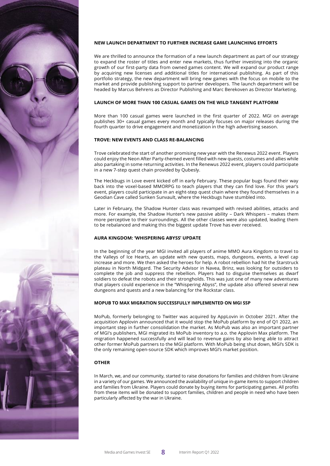

We are thrilled to announce the formation of a new launch department as part of our strategy to expand the roster of titles and enter new markets, thus further investing into the organic growth of our first-party data from owned games content. We will expand our product range by acquiring new licenses and additional titles for international publishing. As part of this portfolio strategy, the new department will bring new games with the focus on mobile to the market and provide publishing support to partner developers. The launch department will be headed by Marcus Behrens as Director Publishing and Marc Berekoven as Director Marketing.

### **LAUNCH OF MORE THAN 100 CASUAL GAMES ON THE WILD TANGENT PLATFORM**

More than 100 casual games were launched in the first quarter of 2022. MGI on average publishes 30+ casual games every month and typically focuses on major releases during the fourth quarter to drive engagement and monetization in the high advertising season.

#### **TROVE: NEW EVENTS AND CLASS RE-BALANCING**

Trove celebrated the start of another promising new year with the Renewus 2022 event. Players could enjoy the Neon After Party-themed event filled with new quests, costumes and allies while also partaking in some returning activities. In the Renewus 2022 event, players could participate in a new 7-step quest chain provided by Qubesly.

The Heckbugs in Love event kicked off in early February. These popular bugs found their way back into the voxel-based MMORPG to teach players that they can find love. For this year's event, players could participate in an eight-step quest chain where they found themselves in a Geodian Cave called Sunken Sunvault, where the Heckbugs have stumbled into.

Later in February, the Shadow Hunter class was revamped with revised abilities, attacks and more. For example, the Shadow Hunter's new passive ability – Dark Whispers – makes them more perceptive to their surroundings. All the other classes were also updated, leading them to be rebalanced and making this the biggest update Trove has ever received.

#### **AURA KINGDOM: 'WHISPERING ABYSS' UPDATE**

In the beginning of the year MGI invited all players of anime MMO Aura Kingdom to travel to the Valleys of Ice Hearts, an update with new quests, maps, dungeons, events, a level cap increase and more. We then asked the heroes for help. A robot rebellion had hit the Starstruck plateau in North Midgard. The Security Advisor in Navea, Brinz, was looking for outsiders to complete the job and suppress the rebellion. Players had to disguise themselves as dwarf soldiers to defeat the robots and their strongholds. This was just one of many new adventures that players could experience in the "Whispering Abyss", the update also offered several new dungeons and quests and a new balancing for the Rockstar class.

#### **MOPUB TO MAX MIGRATION SUCCESSFULLY IMPLEMENTED ON MGI SSP**

MoPub, formerly belonging to Twitter was acquired by AppLovin in October 2021. After the acquisition Applovin announced that it would stop the MoPub platform by end of Q1 2022, an important step in further consolidation the market. As MoPub was also an important partner of MGI's publishers, MGI migrated its MoPub inventory to a.o. the Applovin Max platform. The migration happened successfully and will lead to revenue gains by also being able to attract other former MoPub partners to the MGI platform. With MoPub being shut down, MGI's SDK is the only remaining open-source SDK which improves MGI's market position.

## **OTHER**

In March, we, and our community, started to raise donations for families and children from Ukraine in a variety of our games. We announced the availability of unique in-game items to support children and families from Ukraine. Players could donate by buying items for participating games. All profits from these items will be donated to support families, children and people in need who have been particularly affected by the war in Ukraine.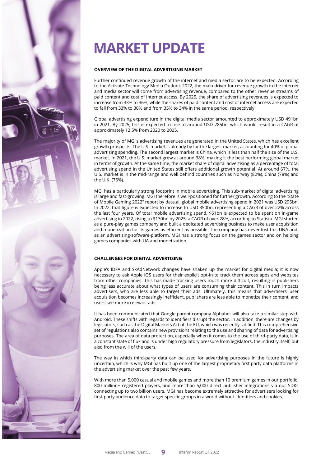

# **MARKET UPDATE**

### **OVERVIEW OF THE DIGITAL ADVERTISING MARKET**

Further continued revenue growth of the internet and media sector are to be expected. According to the Activate Technology Media Outlook 2022, the main driver for revenue growth in the internet and media sector will come from advertising revenue, compared to the other revenue streams of paid content and cost of internet access. By 2025, the share of advertising revenues is expected to increase from 33% to 36%, while the shares of paid content and cost of internet access are expected to fall from 33% to 30% and from 35% to 34% in the same period, respectively.

Global advertising expenditure in the digital media sector amounted to approximately USD 491bn in 2021. By 2025, this is expected to rise to around USD 785bn, which would result in a CAGR of approximately 12.5% from 2020 to 2025.

The majority of MGI's advertising revenues are generated in the United States, which has excellent growth prospects. The U.S. market is already by far the largest market, accounting for 40% of global advertising spending. The second largest market is China, which is less than half the size of the U.S. market. In 2021, the U.S. market grew at around 38%, making it the best performing global market in terms of growth. At the same time, the market share of digital advertising as a percentage of total advertising spend in the United States still offers additional growth potential. At around 67%, the U.S. market is in the mid-range and well behind countries such as Norway (82%), China (78%) and the U.K. (75%).

MGI has a particularly strong footprint in mobile advertising. This sub-market of digital advertising is large and fast-growing. MGI therefore is well-positioned for further growth. According to the "State of Mobile Gaming 2022" report by data.ai, global mobile advertising spend in 2021 was USD 295bn. In 2022, that figure is expected to increase to USD 350bn, representing a CAGR of over 22% across the last four years. Of total mobile advertising spend, \$61bn is expected to be spent on in-game advertising in 2022, rising to \$130bn by 2025, a CAGR of over 28%, according to Statista. MGI started as a pure-play games company and built a dedicated advertising business to make user acquisition and monetization for its games as efficient as possible. The company has never lost this DNA and, as an advertising-software-platform, MGI has a strong focus on the games sector and on helping games companies with UA and monetization.

## **CHALLENGES FOR DIGITAL ADVERTISING**

Apple's IDFA and SkAdNetwork changes have shaken up the market for digital media; it is now necessary to ask Apple iOS users for their explicit opt-in to track them across apps and websites from other companies. This has made tracking users much more difficult, resulting in publishers being less accurate about what types of users are consuming their content. This in turn impacts advertisers, who are less able to target their ads. Ultimately, this means that advertisers' user acquisition becomes increasingly inefficient, publishers are less able to monetize their content, and users see more irrelevant ads.

It has been communicated that Google parent company Alphabet will also take a similar step with Android. These shifts with regards to identifiers disrupt the sector. In addition, there are changes by legislators, such as the Digital Markets Act of the EU, which was recently ratified. This comprehensive set of regulations also contains new provisions relating to the use and sharing of data for advertising purposes. The area of data protection, especially when it comes to the use of third-party data, is in a constant state of flux and is under high regulatory pressure from legislators, the industry itself, but also from the will of the users.

The way in which third-party data can be used for advertising purposes in the future is highly uncertain, which is why MGI has built up one of the largest proprietary first party data platforms in the advertising market over the past few years.

With more than 5,000 casual and mobile games and more than 10 premium games in our portfolio, 800 million+ registered players, and more than 5,000 direct publisher integrations via our SDKs connecting up to two billion users, MGI has become extremely attractive for advertisers looking for first-party audience data to target specific groups in a world without identifiers and cookies.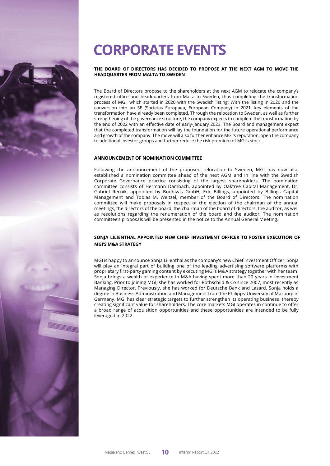# **CORPORATE EVENTS**

### **THE BOARD OF DIRECTORS HAS DECIDED TO PROPOSE AT THE NEXT AGM TO MOVE THE HEADQUARTER FROM MALTA TO SWEDEN**

The Board of Directors propose to the shareholders at the next AGM to relocate the company's registered office and headquarters from Malta to Sweden, thus completing the transformation process of MGI, which started in 2020 with the Swedish listing. With the listing in 2020 and the conversion into an SE (Societas Europaea, European Company) in 2021, key elements of the transformation have already been completed. Through the relocation to Sweden, as well as further strengthening of the governance structure, the company expects to complete the transformation by the end of 2022 with an effective date of early-January 2023. The Board and management expect that the completed transformation will lay the foundation for the future operational performance and growth of the company. The move will also further enhance MGI's reputation, open the company to additional investor groups and further reduce the risk premium of MGI's stock.

### **ANNOUNCEMENT OF NOMINATION COMMITTEE**

Following the announcement of the proposed relocation to Sweden, MGI has now also established a nomination committee ahead of the next AGM and in line with the Swedish Corporate Governance practice consisting of the largest shareholders. The nomination committee consists of Hermann Dambach, appointed by Oaktree Capital Management, Dr. Gabriel Recnik, appointed by Bodhivas GmbH, Eric Billings, appointed by Billings Capital Management and Tobias M. Weitzel, member of the Board of Directors. The nomination committee will make proposals in respect of the election of the chairman of the annual meetings, the directors of the board, the chairman of the board of directors, the auditor, as well as resolutions regarding the renumeration of the board and the auditor. The nomination committee's proposals will be presented in the notice to the Annual General Meeting.

## **SONJA LILIENTHAL APPOINTED NEW CHIEF INVESTMENT OFFICER TO FOSTER EXECUTION OF MGI'S M&A STRATEGY**

MGI is happy to announce Sonja Lilienthal as the company's new Chief Investment Officer. Sonja will play an integral part of building one of the leading advertising software platforms with proprietary first-party gaming content by executing MGI's M&A strategy together with her team. Sonja brings a wealth of experience in M&A having spent more than 20 years in Investment Banking. Prior to joining MGI, she has worked for Rothschild & Co since 2007, most recently as Managing Director. Previously, she has worked for Deutsche Bank and Lazard. Sonja holds a degree in Business Administration and Management from the Philipps-University of Marburg in Germany. MGI has clear strategic targets to further strengthen its operating business, thereby creating significant value for shareholders. The core markets MGI operates in continue to offer a broad range of acquisition opportunities and these opportunities are intended to be fully leveraged in 2022.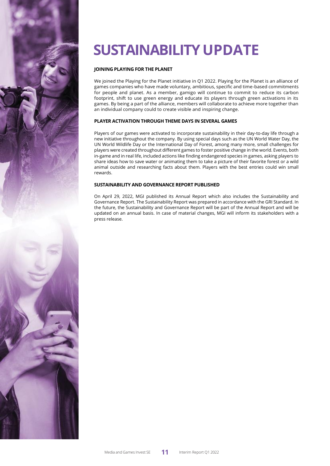# **SUSTAINABILITY UPDATE**

## **JOINING PLAYING FOR THE PLANET**

We joined the Playing for the Planet initiative in Q1 2022. Playing for the Planet is an alliance of games companies who have made voluntary, ambitious, specific and time-based commitments for people and planet. As a member, gamigo will continue to commit to reduce its carbon footprint, shift to use green energy and educate its players through green activations in its games. By being a part of the alliance, members will collaborate to achieve more together than an individual company could to create visible and inspiring change.

## **PLAYER ACTIVATION THROUGH THEME DAYS IN SEVERAL GAMES**

Players of our games were activated to incorporate sustainability in their day-to-day life through a new initiative throughout the company. By using special days such as the UN World Water Day, the UN World Wildlife Day or the International Day of Forest, among many more, small challenges for players were created throughout different games to foster positive change in the world. Events, both in-game and in real life, included actions like finding endangered species in games, asking players to share ideas how to save water or animating them to take a picture of their favorite forest or a wild animal outside and researching facts about them. Players with the best entries could win small rewards.

## **SUSTAINABILITY AND GOVERNANCE REPORT PUBLISHED**

On April 29, 2022, MGI published its Annual Report which also includes the Sustainability and Governance Report. The Sustainability Report was prepared in accordance with the GRI Standard. In the future, the Sustainability and Governance Report will be part of the Annual Report and will be updated on an annual basis. In case of material changes, MGI will inform its stakeholders with a press release.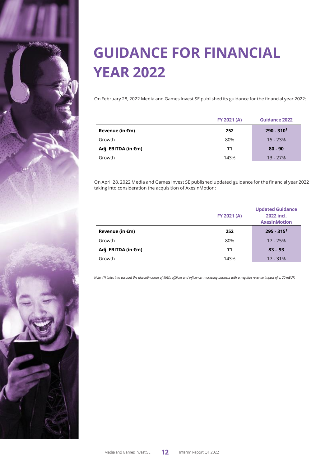

# **GUIDANCE FOR FINANCIAL YEAR 2022**

On February 28, 2022 Media and Games Invest SE published its guidance for the financial year 2022:

|                           | FY 2021 (A) | <b>Guidance 2022</b> |
|---------------------------|-------------|----------------------|
| Revenue (in $\epsilon$ m) | 252         | $290 - 3101$         |
| Growth                    | 80%         | $15 - 23%$           |
| Adj. EBITDA (in €m)       | 71          | $80 - 90$            |
| Growth                    | 143%        | $13 - 27%$           |

On April 28, 2022 Media and Games Invest SE published updated guidance for the financial year 2022 taking into consideration the acquisition of AxesInMotion:

|                     | FY 2021 (A) | <b>Updated Guidance</b><br>2022 incl.<br><b>AxesInMotion</b> |
|---------------------|-------------|--------------------------------------------------------------|
| Revenue (in €m)     | 252         | $295 - 3151$                                                 |
| Growth              | 80%         | $17 - 25%$                                                   |
| Adj. EBITDA (in €m) | 71          | $83 - 93$                                                    |
| Growth              | 143%        | $17 - 31%$                                                   |

Note: (1) takes into account the discontinuance of MGI's affiliate and influencer marketing business with a negative revenue impact of c. 20 mEUR.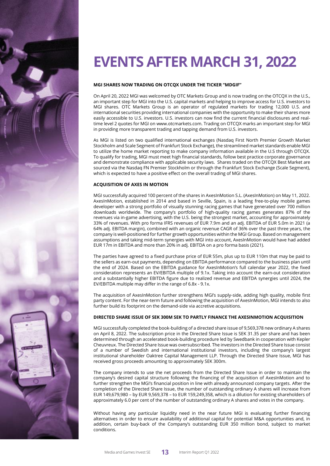

# **EVENTSAFTER MARCH 31, 2022**

## **MGI SHARES NOW TRADING ON OTCQX UNDER THE TICKER "MDGIF"**

On April 20, 2022 MGI was welcomed by OTC Markets Group and is now trading on the OTCQX in the U.S., an important step for MGI into the U.S. capital markets and helping to improve access for U.S. investors to MGI shares. OTC Markets Group is an operator of regulated markets for trading 12,000 U.S. and international securities providing international companies with the opportunity to make their shares more easily accessible to U.S. investors. U.S. investors can now find the current financial disclosures and realtime level 2 quotes for MGI on [www.otcmarkets](http://www.otcmarket/).com. Trading on OTCQX marks an important step for MGI in providing more transparent trading and tapping demand from U.S. investors.

As MGI is listed on two qualified international exchanges (Nasdaq First North Premier Growth Market Stockholm and Scale Segment of Frankfurt Stock Exchange), the streamlined market standards enable MGI to utilize the home market reporting to make company information available in the U.S through OTCQX. To qualify for trading, MGI must meet high financial standards, follow best practice corporate governance and demonstrate compliance with applicable security laws. Shares traded on the OTCQX Best Market are sourced via the Nasdaq FN Premier Stockholm or through the Frankfurt Stock Exchange (Scale Segment), which is expected to have a positive effect on the overall trading of MGI shares.

### **ACQUISITION OF AXES IN MOTION**

MGI successfully acquired 100 percent of the shares in AxesInMotion S.L. (AxesInMotion) on May 11, 2022. AxesInMotion, established in 2014 and based in Seville, Spain, is a leading free-to-play mobile games developer with a strong portfolio of visually stunning racing games that have generated over 700 million downloads worldwide. The company's portfolio of high-quality racing games generates 87% of the revenues via in-game advertising, with the U.S. being the strongest market, accounting for approximately 33% of revenues. With pro forma IFRS revenues of EUR 7.9m and an adj. EBITDA of EUR 5.0m in 2021 (a 64% adj. EBITDA margin), combined with an organic revenue CAGR of 36% over the past three years, the company is well-positioned for further growth opportunities within the MGI Group. Based on management assumptions and taking mid-term synergies with MGI into account, AxesInMotion would have had added EUR 17m in EBITDA and more than 20% in adj. EBITDA on a pro forma basis (2021).

The parties have agreed to a fixed purchase price of EUR 55m, plus up to EUR 110m that may be paid to the sellers as earn-out payments, depending on EBITDA performance compared to the business plan until the end of 2024. Based on the EBITDA guidance for AxesInMotion's full calendar year 2022, the fixed consideration represents an EV/EBITDA multiple of 9.1x. Taking into account the earn-out consideration and a substantially higher EBITDA figure due to realized revenue and EBITDA synergies until 2024, the EV/EBITDA multiple may differ in the range of 6.8x - 9.1x.

The acquisition of AxesInMotion further strengthens MGI's supply-side, adding high quality, mobile first party content. For the near-term future and following the acquisition of AxesInMotion, MGI intends to also further build its footprint on the demand-side via accretive acquisitions.

## **DIRECTED SHARE ISSUE OF SEK 300M SEK TO PARTLY FINANCE THE AXESINMOTION ACQUISITION**

MGI successfully completed the book-building of a directed share issue of 9,569,378 new ordinary A shares on April 8, 2022. The subscription price in the Directed Share Issue is SEK 31.35 per share and has been determined through an accelerated book-building procedure led by Swedbank in cooperation with Kepler Cheuvreux. The Directed Share Issue was oversubscribed. The investors in the Directed Share Issue consist of a number of Swedish and international institutional investors, including the company's largest institutional shareholder Oaktree Capital Management LLP. Through the Directed Share Issue, MGI has received gross proceeds amounting to approximately SEK 300m.

The company intends to use the net proceeds from the Directed Share Issue in order to maintain the company's desired capital structure following the financing of the acquisition of AxesInMotion and to further strengthen the MGI's financial position in line with already announced company targets. After the completion of the Directed Share Issue, the number of outstanding ordinary A shares will increase from EUR 149,679,980 – by EUR 9,569,378 – to EUR 159,249,358, which is a dilution for existing shareholders of approximately 6.0 per cent of the number of outstanding ordinary A shares and votes in the company.

Without having any particular liquidity need in the near future MGI is evaluating further financing alternatives in order to ensure availability of additional capital for potential M&A opportunities and, in addition, certain buy-back of the Company's outstanding EUR 350 million bond, subject to market conditions.

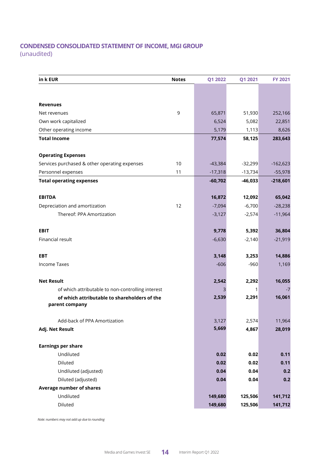# **CONDENSED CONSOLIDATED STATEMENT OF INCOME, MGI GROUP**

(unaudited)

| in k EUR                                          | <b>Notes</b> | Q1 2022   | Q1 2021   | <b>FY 2021</b> |
|---------------------------------------------------|--------------|-----------|-----------|----------------|
|                                                   |              |           |           |                |
|                                                   |              |           |           |                |
| <b>Revenues</b>                                   |              |           |           |                |
| Net revenues                                      | 9            | 65,871    | 51,930    | 252,166        |
| Own work capitalized                              |              | 6,524     | 5,082     | 22,851         |
| Other operating income                            |              | 5,179     | 1,113     | 8,626          |
| <b>Total Income</b>                               |              | 77,574    | 58,125    | 283,643        |
| <b>Operating Expenses</b>                         |              |           |           |                |
| Services purchased & other operating expenses     | 10           | $-43,384$ | $-32,299$ | $-162,623$     |
| Personnel expenses                                | 11           | $-17,318$ | $-13,734$ | $-55,978$      |
| <b>Total operating expenses</b>                   |              | $-60,702$ | $-46,033$ | $-218,601$     |
| <b>EBITDA</b>                                     |              | 16,872    | 12,092    | 65,042         |
| Depreciation and amortization                     | 12           | $-7,094$  | $-6,700$  | $-28,238$      |
| Thereof: PPA Amortization                         |              | $-3,127$  | $-2,574$  | $-11,964$      |
|                                                   |              |           |           |                |
| <b>EBIT</b>                                       |              | 9,778     | 5,392     | 36,804         |
| Financial result                                  |              | $-6,630$  | $-2,140$  | $-21,919$      |
| <b>EBT</b>                                        |              | 3,148     | 3,253     | 14,886         |
| <b>Income Taxes</b>                               |              | $-606$    | $-960$    | 1,169          |
| <b>Net Result</b>                                 |              | 2,542     | 2,292     | 16,055         |
| of which attributable to non-controlling interest |              | 3         | 1         | $-7$           |
| of which attributable to shareholders of the      |              | 2,539     | 2,291     | 16,061         |
| parent company                                    |              |           |           |                |
| Add-back of PPA Amortization                      |              | 3,127     | 2,574     | 11,964         |
| Adj. Net Result                                   |              | 5,669     | 4,867     | 28,019         |
| <b>Earnings per share</b>                         |              |           |           |                |
| Undiluted                                         |              | 0.02      | 0.02      | 0.11           |
| Diluted                                           |              | 0.02      | 0.02      | 0.11           |
| Undiluted (adjusted)                              |              | 0.04      | 0.04      | 0.2            |
| Diluted (adjusted)                                |              | 0.04      | 0.04      | 0.2            |
| <b>Average number of shares</b>                   |              |           |           |                |
| Undiluted                                         |              | 149,680   | 125,506   | 141,712        |
| Diluted                                           |              | 149,680   | 125,506   | 141,712        |

 *Note: numbers may not add up due to rounding*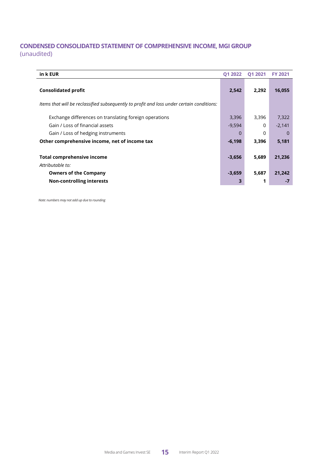# **CONDENSED CONSOLIDATED STATEMENT OF COMPREHENSIVE INCOME, MGI GROUP** (unaudited)

| in k EUR                                                                                  | <b>Q1 2022</b> | <b>Q1 2021</b> | <b>FY 2021</b> |
|-------------------------------------------------------------------------------------------|----------------|----------------|----------------|
| <b>Consolidated profit</b>                                                                | 2,542          | 2,292          | 16,055         |
| Items that will be reclassified subsequently to profit and loss under certain conditions: |                |                |                |
| Exchange differences on translating foreign operations                                    | 3,396          | 3,396          | 7,322          |
| Gain / Loss of financial assets                                                           | $-9,594$       | $\Omega$       | $-2,141$       |
| Gain / Loss of hedging instruments                                                        | $\Omega$       | 0              | $\Omega$       |
| Other comprehensive income, net of income tax                                             | $-6,198$       | 3,396          | 5,181          |
| <b>Total comprehensive income</b><br>Attributable to:                                     | $-3,656$       | 5,689          | 21,236         |
| <b>Owners of the Company</b>                                                              | $-3,659$       | 5,687          | 21,242         |
| <b>Non-controlling interests</b>                                                          |                |                | $-7$           |

 *Note: numbers may not add up due to rounding*

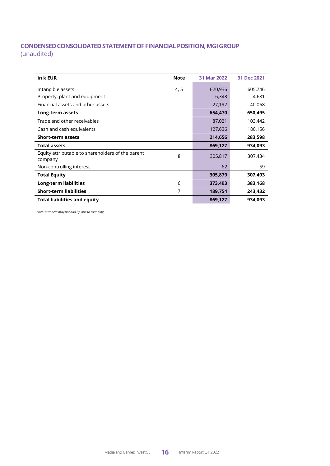# **CONDENSEDCONSOLIDATEDSTATEMENTOFFINANCIALPOSITION,MGIGROUP** (unaudited)

| in k EUR                                          | <b>Note</b> | 31 Mar 2022 | 31 Dec 2021 |
|---------------------------------------------------|-------------|-------------|-------------|
|                                                   |             |             |             |
| Intangible assets                                 | 4, 5        | 620,936     | 605,746     |
| Property, plant and equipment                     |             | 6,343       | 4,681       |
| Financial assets and other assets                 |             | 27,192      | 40,068      |
| Long-term assets                                  |             | 654,470     | 650,495     |
| Trade and other receivables                       |             | 87,021      | 103,442     |
| Cash and cash equivalents                         |             | 127,636     | 180,156     |
| <b>Short-term assets</b>                          |             | 214,656     | 283,598     |
| <b>Total assets</b>                               |             | 869,127     | 934,093     |
| Equity attributable to shareholders of the parent | 8           |             |             |
| company                                           |             | 305,817     | 307,434     |
| Non-controlling interest                          |             | 62          | 59          |
| <b>Total Equity</b>                               |             | 305,879     | 307,493     |
| Long-term liabilities                             | 6           | 373,493     | 383,168     |
| <b>Short-term liabilities</b>                     | 7           | 189,754     | 243,432     |
| <b>Total liabilities and equity</b>               |             | 869,127     | 934,093     |

 *Note: numbers may not add up due to rounding*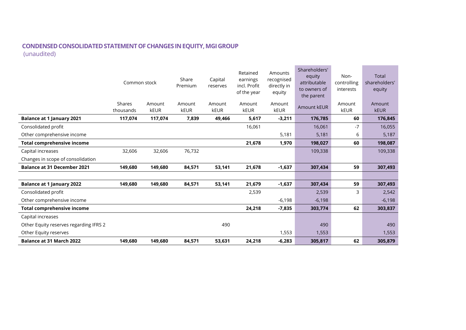# **CONDENSEDCONSOLIDATEDSTATEMENTOFCHANGES INEQUITY,MGIGROUP** (unaudited)

|                                        | Common stock        |                | Share<br>Premium      | Capital<br>reserves | Retained<br>earnings<br>incl. Profit<br>of the year | Amounts<br>recognised<br>directly in<br>equity | Shareholders'<br>equity<br>attributable<br>to owners of<br>the parent | Non-<br>controlling<br>interests | Total<br>shareholders'<br>equity |
|----------------------------------------|---------------------|----------------|-----------------------|---------------------|-----------------------------------------------------|------------------------------------------------|-----------------------------------------------------------------------|----------------------------------|----------------------------------|
|                                        | Shares<br>thousands | Amount<br>kEUR | Amount<br><b>kEUR</b> | Amount<br>kEUR      | Amount<br>kEUR                                      | Amount<br><b>kEUR</b>                          | Amount kEUR                                                           | Amount<br>kEUR                   | Amount<br><b>kEUR</b>            |
| <b>Balance at 1 January 2021</b>       | 117,074             | 117,074        | 7,839                 | 49,466              | 5,617                                               | $-3,211$                                       | 176,785                                                               | 60                               | 176,845                          |
| Consolidated profit                    |                     |                |                       |                     | 16,061                                              |                                                | 16,061                                                                | $-7$                             | 16,055                           |
| Other comprehensive income             |                     |                |                       |                     |                                                     | 5,181                                          | 5,181                                                                 | 6                                | 5,187                            |
| <b>Total comprehensive income</b>      |                     |                |                       |                     | 21,678                                              | 1,970                                          | 198,027                                                               | 60                               | 198,087                          |
| Capital increases                      | 32,606              | 32,606         | 76,732                |                     |                                                     |                                                | 109,338                                                               |                                  | 109,338                          |
| Changes in scope of consolidation      |                     |                |                       |                     |                                                     |                                                |                                                                       |                                  |                                  |
| <b>Balance at 31 December 2021</b>     | 149,680             | 149,680        | 84,571                | 53,141              | 21,678                                              | $-1,637$                                       | 307,434                                                               | 59                               | 307,493                          |
|                                        |                     |                |                       |                     |                                                     |                                                |                                                                       |                                  |                                  |
| <b>Balance at 1 January 2022</b>       | 149,680             | 149,680        | 84,571                | 53,141              | 21,679                                              | $-1,637$                                       | 307,434                                                               | 59                               | 307,493                          |
| Consolidated profit                    |                     |                |                       |                     | 2,539                                               |                                                | 2,539                                                                 | 3                                | 2,542                            |
| Other comprehensive income             |                     |                |                       |                     |                                                     | $-6,198$                                       | $-6,198$                                                              |                                  | $-6,198$                         |
| <b>Total comprehensive income</b>      |                     |                |                       |                     | 24,218                                              | $-7,835$                                       | 303,774                                                               | 62                               | 303,837                          |
| Capital increases                      |                     |                |                       |                     |                                                     |                                                |                                                                       |                                  |                                  |
| Other Equity reserves regarding IFRS 2 |                     |                |                       | 490                 |                                                     |                                                | 490                                                                   |                                  | 490                              |
| Other Equity reserves                  |                     |                |                       |                     |                                                     | 1,553                                          | 1,553                                                                 |                                  | 1,553                            |
| <b>Balance at 31 March 2022</b>        | 149,680             | 149,680        | 84,571                | 53,631              | 24,218                                              | $-6,283$                                       | 305,817                                                               | 62                               | 305,879                          |

and the control of the control of the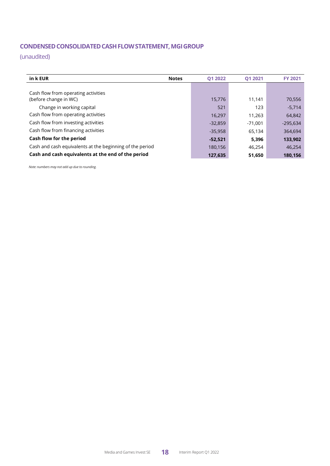# **CONDENSEDCONSOLIDATEDCASHFLOWSTATEMENT,MGIGROUP**

(unaudited)

| in k EUR                                                 | 01 2022<br><b>Notes</b> | 01 2021   | <b>FY 2021</b> |
|----------------------------------------------------------|-------------------------|-----------|----------------|
|                                                          |                         |           |                |
| Cash flow from operating activities                      |                         |           |                |
| (before change in WC)                                    | 15,776                  | 11,141    | 70,556         |
| Change in working capital                                | 521                     | 123       | $-5,714$       |
| Cash flow from operating activities                      | 16,297                  | 11,263    | 64,842         |
| Cash flow from investing activities                      | $-32,859$               | $-71,001$ | $-295,634$     |
| Cash flow from financing activities                      | $-35,958$               | 65,134    | 364,694        |
| Cash flow for the period                                 | $-52,521$               | 5,396     | 133,902        |
| Cash and cash equivalents at the beginning of the period | 180,156                 | 46,254    | 46,254         |
| Cash and cash equivalents at the end of the period       | 127,635                 | 51,650    | 180,156        |

 *Note: numbers may not add up due to rounding.*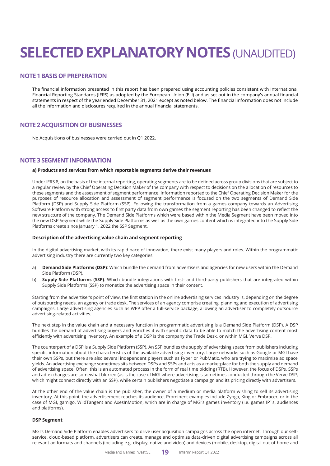# **SELECTED EXPLANATORY NOTES (UNAUDITED)**

## **NOTE 1 BASIS OF PREPERATION**

The financial information presented in this report has been prepared using accounting policies consistent with International Financial Reporting Standards (IFRS) as adopted by the European Union (EU) and as set out in the company's annual financial statements in respect of the year ended December 31, 2021 except as noted below. The financial information does not include all the information and disclosures required in the annual financial statements.

## **NOTE 2 ACQUISITION OF BUSINESSES**

No Acquisitions of businesses were carried out in Q1 2022.

## **NOTE 3 SEGMENT INFORMATION**

#### **a) Products and services from which reportable segments derive their revenues**

Under IFRS 8, on the basis of the internal reporting, operating segments are to be defined across group divisions that are subject to a regular review by the Chief Operating Decision Maker of the company with respect to decisions on the allocation of resources to these segments and the assessment of segment performance. Information reported to the Chief Operating Decision Maker for the purposes of resource allocation and assessment of segment performance is focused on the two segments of Demand Side Platform (DSP) and Supply Side Platform (SSP). Following the transformation from a games company towards an Advertising Software Platform with strong access to first party data from own games the segment reporting has been changed to reflect the new structure of the company. The Demand Side Platforms which were based within the Media Segment have been moved into the new DSP Segment while the Supply Side Platforms as well as the own games content which is integrated into the Supply Side Platforms create since January 1, 2022 the SSP Segment.

### **Description of the advertising value chain and segment reporting**

In the digital advertising market, with its rapid pace of innovation, there exist many players and roles. Within the programmatic advertising industry there are currently two key categories:

- a) **Demand Side Platforms (DSP)**: Which bundle the demand from advertisers and agencies for new users within the Demand Side Platform (DSP).
- b) **Supply Side Platforms (SSP)**: Which bundle integrations with first- and third-party publishers that are integrated within Supply Side Platforms (SSP) to monetize the advertising space in their content.

Starting from the advertiser's point of view, the first station in the online advertising services industry is, depending on the degree of outsourcing needs, an agency or trade desk. The services of an agency comprise creating, planning and execution of advertising campaigns. Large advertising agencies such as WPP offer a full-service package, allowing an advertiser to completely outsource advertising-related activities.

The next step in the value chain and a necessary function in programmatic advertising is a Demand Side Platform (DSP). A DSP bundles the demand of advertising buyers and enriches it with specific data to be able to match the advertising content most efficiently with advertising inventory. An example of a DSP is the company the Trade Desk, or within MGI, Verve DSP.

The counterpart of a DSP is a Supply Side Platform (SSP). An SSP bundles the supply of advertising space from publishers including specific information about the characteristics of the available advertising inventory. Large networks such as Google or MGI have their own SSPs, but there are also several independent players such as Fyber or PubMatic, who are trying to maximize ad space yields. An advertising exchange sometimes sits between DSPs and SSPs and acts as a marketplace for both the supply and demand of advertising space. Often, this is an automated process in the form of real time bidding (RTB). However, the focus of DSPs, SSPs and ad-exchanges are somewhat blurred (as is the case of MGI where advertising is sometimes conducted through the Verve DSP, which might connect directly with an SSP), while certain publishers negotiate a campaign and its pricing directly with advertisers.

At the other end of the value chain is the publisher, the owner of a medium or media platform wishing to sell its advertising inventory. At this point, the advertisement reaches its audience. Prominent examples include Zynga, King or Embracer, or in the case of MGI, gamigo, WildTangent and AxesInMotion, which are in charge of MGI's games inventory (i.e. games IP`s, audiences and platforms).

## **DSP Segment**

MGI's Demand Side Platform enables advertisers to drive user acquisition campaigns across the open internet. Through our selfservice, cloud-based platform, advertisers can create, manage and optimize data-driven digital advertising campaigns across all relevant ad formats and channels (including e.g. display, native and video) and devices (mobile, desktop, digital out-of-home and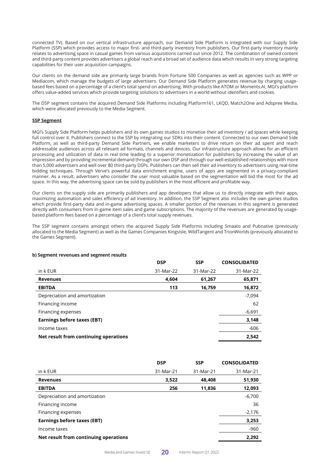connected TV). Based on our vertical infrastructure approach, our Demand Side Platform is integrated with our Supply Side Platform (SSP) which provides access to major first- and third-party inventory from publishers. Our first-party inventory mainly relates to advertising space in casual games from various acquisitions carried out since 2012. The combination of owned content and third-party content provides advertisers a global reach and a broad set of audience data which results in very strong targeting capabilities for their user acquisition campaigns.

Our clients on the demand side are primarily large brands from Fortune 500 Companies as well as agencies such as WPP or Mediacom, which manage the budgets of large advertisers. Our Demand Side Platform generates revenue by charging usagebased fees based on a percentage of a client's total spend on advertising. With products like ATOM or Moments.AI, MGI's platform offers value-added services which provide targeting solutions to advertisers in a world without identifiers and cookies.

The DSP segment contains the acquired Demand Side Platforms including Platform161, LKQD, Match2One and Adspree Media, which were allocated previously to the Media Segment.

### **SSP Segment**

MGI's Supply Side Platform helps publishers and its own games studios to monetize their ad inventory / ad spaces while keeping full control over it. Publishers connect to the SSP by integrating our SDKs into their content. Connected to our own Demand Side Platform, as well as third-party Demand Side Partners, we enable marketers to drive return on their ad spent and reach addressable audiences across all relevant ad formats, channels and devices. Our infrastructure approach allows for an efficient processing and utilization of data in real time leading to a superior monetization for publishers by increasing the value of an impression and by providing incremental demand through our own DSP and through our well-established relationships with more than 5,000 advertisers and well over 80 third-party DSPs. Publishers can then sell their ad inventory to advertisers using real-time bidding techniques. Through Verve's powerful data enrichment engine, users of apps are segmented in a privacy-compliant manner. As a result, advertisers who consider the user most valuable based on the segmentation will bid the most for the ad space. In this way, the advertising space can be sold by publishers in the most efficient and profitable way.

Our clients on the supply side are primarily publishers and app developers that allow us to directly integrate with their apps, maximizing automation and sales efficiency of ad inventory. In addition, the SSP Segment also includes the own games studios which provide first-party data and in-game advertising spaces. A smaller portion of the revenues in this segment is generated directly with consumers from in-game item sales and game subscriptions. The majority of the revenues are generated by usagebased platform fees based on a percentage of a client's total supply revenues.

The SSP segment contains amongst others the acquired Supply Side Platforms including Smaato and Pubnative (previously allocated to the Media Segment) as well as the Games Companies KingsIsle, WildTangent and TrionWorlds (previously allocated to the Games Segment).

|                                       | <b>DSP</b> | <b>SSP</b> | <b>CONSOLIDATED</b> |
|---------------------------------------|------------|------------|---------------------|
| in k EUR                              | 31-Mar-22  | 31-Mar-22  | 31-Mar-22           |
| <b>Revenues</b>                       | 4,604      | 61,267     | 65,871              |
| <b>EBITDA</b>                         | 113        | 16,759     | 16,872              |
| Depreciation and amortization         |            |            | -7,094              |
| Financing income                      |            |            | 62                  |
| Financing expenses                    |            |            | $-6,691$            |
| Earnings before taxes (EBT)           |            |            | 3,148               |
| Income taxes                          |            |            | $-606$              |
| Net result from continuing operations |            |            | 2,542               |

#### **b) Segment revenues and segment results**

|                                       | <b>DSP</b> | <b>SSP</b> | <b>CONSOLIDATED</b> |
|---------------------------------------|------------|------------|---------------------|
| in k EUR                              | 31-Mar-21  | 31-Mar-21  | 31-Mar-21           |
| <b>Revenues</b>                       | 3,522      | 48,408     | 51,930              |
| <b>EBITDA</b>                         | 256        | 11,836     | 12,093              |
| Depreciation and amortization         |            |            | $-6,700$            |
| Financing income                      |            |            | 36                  |
| Financing expenses                    |            |            | $-2,176$            |
| <b>Earnings before taxes (EBT)</b>    |            |            | 3,253               |
| Income taxes                          |            |            | $-960$              |
| Net result from continuing operations |            |            | 2,292               |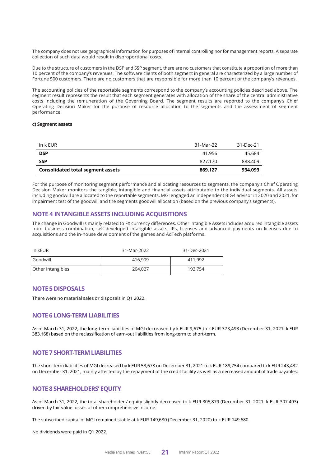The company does not use geographical information for purposes of internal controlling nor for management reports. A separate collection of such data would result in disproportional costs.

Due to the structure of customers in the DSP and SSP segment, there are no customers that constitute a proportion of more than 10 percent of the company's revenues. The software clients of both segment in general are characterized by a large number of Fortune 500 customers. There are no customers that are responsible for more than 10 percent of the company's revenues.

The accounting policies of the reportable segments correspond to the company's accounting policies described above. The segment result represents the result that each segment generates with allocation of the share of the central administrative costs including the remuneration of the Governing Board. The segment results are reported to the company's Chief Operating Decision Maker for the purpose of resource allocation to the segments and the assessment of segment performance.

### **c) Segment assets**

| in k EUR                                 | 31-Mar-22 | 31-Dec-21 |
|------------------------------------------|-----------|-----------|
| <b>DSP</b>                               | 41.956    | 45.684    |
| <b>SSP</b>                               | 827.170   | 888.409   |
| <b>Consolidated total segment assets</b> | 869.127   | 934.093   |

For the purpose of monitoring segment performance and allocating resources to segments, the company's Chief Operating Decision Maker monitors the tangible, intangible and financial assets attributable to the individual segments. All assets including goodwill are allocated to the reportable segments. MGI engaged an independent BIG4 advisor in 2020 and 2021, for impairment test of the goodwill and the segments goodwill allocation (based on the previous company's segments).

## **NOTE 4 INTANGIBLE ASSETS INCLUDING ACQUISITIONS**

The change in Goodwill is mainly related to FX currency differences. Other Intangible Assets includes acquired intangible assets from business combination, self-developed intangible assets, IPs, licenses and advanced payments on licenses due to acquisitions and the in-house development of the games and AdTech platforms.

| In kEUR           | 31-Mar-2022 | 31-Dec-2021 |
|-------------------|-------------|-------------|
| Goodwill          | 416,909     | 411,992     |
| Other Intangibles | 204.027     | 193.754     |

## **NOTE5 DISPOSALS**

There were no material sales or disposals in Q1 2022.

## **NOTE 6 LONG-TERMLIABILITIES**

As of March 31, 2022, the long-term liabilities of MGI decreased by k EUR 9,675 to k EUR 373,493 (December 31, 2021: k EUR 383,168) based on the reclassification of earn-out liabilities from long-term to short-term.

## **NOTE 7 SHORT-TERMLIABILITIES**

The short-term liabilities of MGI decreased by k EUR 53,678 on December 31, 2021 to k EUR 189,754 compared to k EUR 243,432 on December 31, 2021, mainly affected by the repayment of the credit facility as well as a decreased amount of trade payables.

## **NOTE 8 SHAREHOLDERS' EQUITY**

As of March 31, 2022, the total shareholders' equity slightly decreased to k EUR 305,879 (December 31, 2021: k EUR 307,493) driven by fair value losses of other comprehensive income.

The subscribed capital of MGI remained stable at k EUR 149,680 (December 31, 2020) to k EUR 149,680.

No dividends were paid in Q1 2022.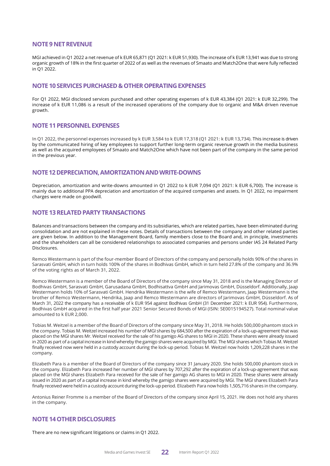## **NOTE9 NETREVENUE**

MGI achieved in Q1 2022 a net revenue of k EUR 65,871 (Q1 2021: k EUR 51,930). The increase of k EUR 13,941 was due to strong organic growth of 18% in the first quarter of 2022 of as well as the revenues of Smaato and Match2One that were fully reflected in Q1 2022.

## **NOTE 10 SERVICESPURCHASED &OTHEROPERATING EXPENSES**

For Q1 2022, MGI disclosed services purchased and other operating expenses of k EUR 43,384 (Q1 2021: k EUR 32,299). The increase of k EUR 11,086 is a result of the increased operations of the company due to organic and M&A driven revenue growth.

## **NOTE 11PERSONNELEXPENSES**

In Q1 2022, the personnel expenses increased by k EUR 3,584 to k EUR 17,318 (Q1 2021: k EUR 13,734). This increase is driven by the communicated hiring of key employees to support further long-term organic revenue growth in the media business as well as the acquired employees of Smaato and Match2One which have not been part of the company in the same period in the previous year.

## **NOTE12DEPRECIATION,AMORTIZATIONANDWRITE-DOWNS**

Depreciation, amortization and write-downs amounted in Q1 2022 to k EUR 7,094 (Q1 2021: k EUR 6,700). The increase is mainly due to additional PPA depreciation and amortization of the acquired companies and assets. In Q1 2022, no impairment charges were made on goodwill.

## **NOTE 13 RELATED PARTY TRANSACTIONS**

Balances and transactions between the company and its subsidiaries, which are related parties, have been eliminated during consolidation and are not explained in these notes. Details of transactions between the company and other related parties are given below. In addition to the Management Board, family members close to the Board and, in principle, investments and the shareholders can all be considered relationships to associated companies and persons under IAS 24 Related Party Disclosures.

Remco Westermann is part of the four-member Board of Directors of the company and personally holds 90% of the shares in Sarasvati GmbH, which in turn holds 100% of the shares in Bodhivas GmbH, which in turn held 27.8% of the company and 36.9% of the voting rights as of March 31, 2022.

Remco Westermann is a member of the Board of Directors of the company since May 31, 2018 and is the Managing Director of Bodhivas GmbH, Sarasvati GmbH, Garusadana GmbH, Bodhisattva GmbH and Jarimovas GmbH, Düsseldorf. Additionally, Jaap Westermann holds 10% of Sarasvati GmbH. Hendrika Westermann is the wife of Remco Westermann, Jaap Westermann is the brother of Remco Westermann, Hendrika, Jaap and Remco Westermann are directors of Jarimovas GmbH, Düsseldorf. As of March 31, 2022 the company has a receivable of k EUR 954 against Bodhivas GmbH (31 December 2021: k EUR 954). Furthermore, Bodhivas GmbH acquired in the first half year 2021 Senior Secured Bonds of MGI (ISIN: SE0015194527). Total nominal value amounted to k EUR 2,000.

Tobias M. Weitzel is a member of the Board of Directors of the company since May 31, 2018. He holds 500,000 phantom stock in the company. Tobias M. Weitzel increased his number of MGI shares by 684,500 after the expiration of a lock-up-agreement that was placed on the MGI shares Mr. Weitzel received for the sale of his gamigo AG shares to MGI in 2020. These shares were already issued in 2020 as part of a capital increase in kind whereby the gamigo shares were acquired by MGI. The MGI shares which Tobias M. Weitzel finally received now were held in a custody account during the lock-up period. Tobias M. Weitzel now holds 1,209,228 shares in the company.

Elizabeth Para is a member of the Board of Directors of the company since 31 January 2020. She holds 500,000 phantom stock in the company. Elizabeth Para increased her number of MGI shares by 707,292 after the expiration of a lock-up-agreement that was placed on the MGI shares Elizabeth Para received for the sale of her gamigo AG shares to MGI in 2020. These shares were already issued in 2020 as part of a capital increase in kind whereby the gamigo shares were acquired by MGI. The MGI shares Elizabeth Para finally received were held in a custody account during the lock-up period. Elizabeth Para now holds 1,505,716 shares in the company.

Antonius Reiner Fromme is a member of the Board of Directors of the company since April 15, 2021. He does not hold any shares in the company.

## **NOTE 14 OTHER DISCLOSURES**

There are no new significant litigations or claims in Q1 2022.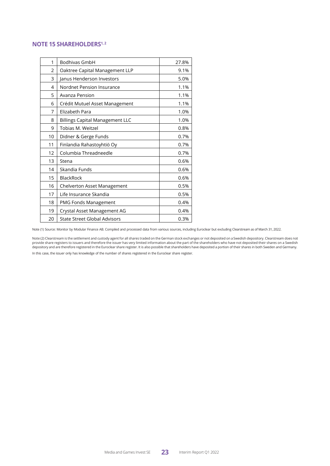## **NOTE 15 SHAREHOLDERS1, <sup>2</sup>**

| 1              | <b>Bodhivas GmbH</b>                   | 27.8% |
|----------------|----------------------------------------|-------|
| $\overline{2}$ | Oaktree Capital Management LLP         | 9.1%  |
| 3              | Janus Henderson Investors              | 5.0%  |
| 4              | Nordnet Pension Insurance              | 1.1%  |
| 5              | Avanza Pension                         | 1.1%  |
| 6              | Crédit Mutuel Asset Management         | 1.1%  |
| 7              | Elizabeth Para                         | 1.0%  |
| 8              | <b>Billings Capital Management LLC</b> | 1.0%  |
| 9              | Tobias M. Weitzel                      | 0.8%  |
| 10             | Didner & Gerge Funds                   | 0.7%  |
| 11             | Finlandia Rahastoyhtiö Oy              | 0.7%  |
| 12             | Columbia Threadneedle                  | 0.7%  |
| 13             | Stena                                  | 0.6%  |
| 14             | Skandia Funds                          | 0.6%  |
| 15             | <b>BlackRock</b>                       | 0.6%  |
| 16             | Chelverton Asset Management            | 0.5%  |
| 17             | Life Insurance Skandia                 | 0.5%  |
| 18             | PMG Fonds Management                   | 0.4%  |
| 19             | Crystal Asset Management AG            | 0.4%  |
| 20             | State Street Global Advisors           | 0.3%  |

Note (1) Source: Monitor by Modular Finance AB. Compiled and processed data from various sources, including Euroclear but excluding Clearstream as of March 31, 2022.

Note (2) Clearstream is the settlement and custody agent for all shares traded on the German stock exchanges or not deposited on a Swedish depository. Clearstream does not provide share registers to issuers and therefore the issuer has very limited information about the part of the shareholders who have not deposited their shares on a Swedish<br>depository and are therefore registered in the Eu In this case, the issuer only has knowledge of the number of shares registered in the Euroclear share register.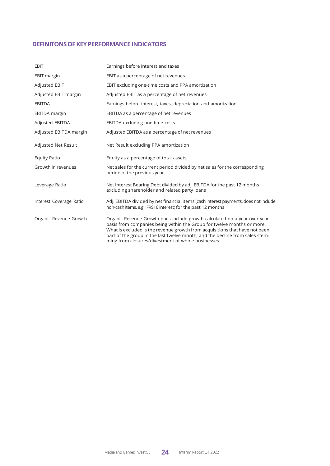## **DEFINITONSOFKEYPERFORMANCEINDICATORS**

| <b>EBIT</b>             | Earnings before interest and taxes                                                                                                                                                                                                                                                                                                                                       |
|-------------------------|--------------------------------------------------------------------------------------------------------------------------------------------------------------------------------------------------------------------------------------------------------------------------------------------------------------------------------------------------------------------------|
| <b>EBIT</b> margin      | EBIT as a percentage of net revenues                                                                                                                                                                                                                                                                                                                                     |
| <b>Adjusted EBIT</b>    | EBIT excluding one-time costs and PPA amortization                                                                                                                                                                                                                                                                                                                       |
| Adjusted EBIT margin    | Adjusted EBIT as a percentage of net revenues                                                                                                                                                                                                                                                                                                                            |
| <b>EBITDA</b>           | Earnings before interest, taxes, depreciation and amortization                                                                                                                                                                                                                                                                                                           |
| EBITDA margin           | EBITDA as a percentage of net revenues                                                                                                                                                                                                                                                                                                                                   |
| Adjusted EBITDA         | EBITDA excluding one-time costs                                                                                                                                                                                                                                                                                                                                          |
| Adjusted EBITDA margin  | Adjusted EBITDA as a percentage of net revenues                                                                                                                                                                                                                                                                                                                          |
| Adjusted Net Result     | Net Result excluding PPA amortization                                                                                                                                                                                                                                                                                                                                    |
| <b>Equity Ratio</b>     | Equity as a percentage of total assets                                                                                                                                                                                                                                                                                                                                   |
| Growth in revenues      | Net sales for the current period divided by net sales for the corresponding<br>period of the previous year                                                                                                                                                                                                                                                               |
| Leverage Ratio          | Net Interest Bearing Debt divided by adj. EBITDA for the past 12 months<br>excluding shareholder and related party loans                                                                                                                                                                                                                                                 |
| Interest Coverage Ratio | Adj. EBITDA divided by net financial items (cash interest payments, does not include<br>non-cash items, e.g. IFRS16 interest) for the past 12 months                                                                                                                                                                                                                     |
| Organic Revenue Growth  | Organic Revenue Growth does include growth calculated on a year-over-year<br>basis from companies being within the Group for twelve months or more.<br>What is excluded is the revenue growth from acquisitions that have not been<br>part of the group in the last twelve month, and the decline from sales stem-<br>ming from closures/divestment of whole businesses. |

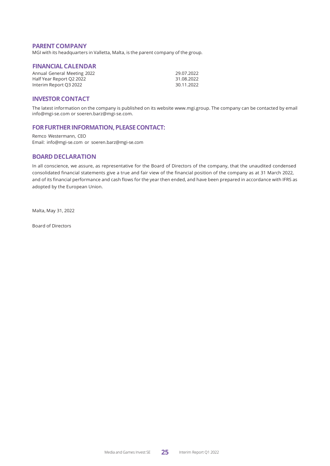## **PARENT COMPANY**

MGI with its headquarters in Valletta, Malta, is the parent company of the group.

## **FINANCIALCALENDAR**

| Annual General Meeting 2022 | 29.07.2022 |
|-----------------------------|------------|
| Half Year Report Q2 2022    | 31.08.2022 |
| Interim Report Q3 2022      | 30.11.2022 |

## **INVESTOR CONTACT**

The latest information on the company is published on its website [www.mgi.group.](http://www.mgi.group/) The company can be contacted by email [info@mgi-se.com o](mailto:info@mgi-se.com)r [soeren.barz@mgi-se.com.](mailto:soeren.barz@mgi-se.com)

## FOR FURTHER INFORMATION, PLEASE CONTACT:

Remco Westermann, CEO Email: [info@mgi-se.com](mailto:info@mgi-se.com) or [soeren.barz@mgi-se.com](mailto:soeren.barz@mgi-se.com)

## **BOARD DECLARATION**

In all conscience, we assure, as representative for the Board of Directors of the company, that the unaudited condensed consolidated financial statements give a true and fair view of the financial position of the company as at 31 March 2022, and of its financial performance and cash flows for the year then ended, and have been prepared in accordance with IFRS as adopted by the European Union.

Malta, May 31, 2022

Board of Directors